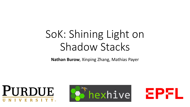# SoK: Shining Light on Shadow Stacks

**Nathan Burow**, Xinping Zhang, Mathias Payer





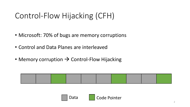## Control-Flow Hijacking (CFH)

- Microsoft: 70% of bugs are memory corruptions
- Control and Data Planes are interleaved
- Memory corruption  $\rightarrow$  Control-Flow Hijacking



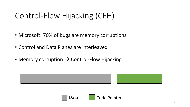## Control-Flow Hijacking (CFH)

- Microsoft: 70% of bugs are memory corruptions
- Control and Data Planes are interleaved
- Memory corruption  $\rightarrow$  Control-Flow Hijacking



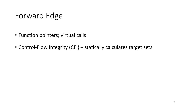## Forward Edge

- Function pointers; virtual calls
- Control-Flow Integrity (CFI) statically calculates target sets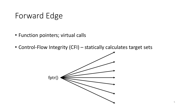#### Forward Edge

- Function pointers; virtual calls
- Control-Flow Integrity (CFI) statically calculates target sets

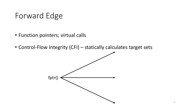#### Forward Edge

- Function pointers; virtual calls
- Control-Flow Integrity (CFI) statically calculates target sets

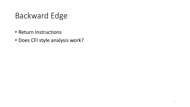- Return Instructions
- Does CFI style analysis work?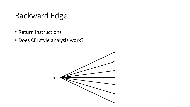- Return Instructions
- Does CFI style analysis work?

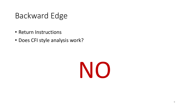- Return Instructions
- Does CFI style analysis work?

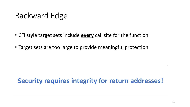- CFI style target sets include **every** call site for the function
- Target sets are too large to provide meaningful protection

**Security requires integrity for return addresses!**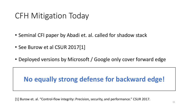#### CFH Mitigation Today

- Seminal CFI paper by Abadi et. al. called for shadow stack
- See Burow et al CSUR 2017[1]
- Deployed versions by Microsoft / Google only cover forward edge

#### **No equally strong defense for backward edge!**

[1] Burow et. al. "Control-flow integrity: Precision, security, and performance." CSUR 2017.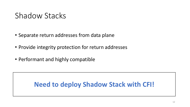#### Shadow Stacks

- Separate return addresses from data plane
- Provide integrity protection for return addresses
- Performant and highly compatible

#### **Need to deploy Shadow Stack with CFI!**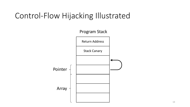![](_page_12_Figure_1.jpeg)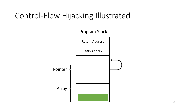![](_page_13_Figure_1.jpeg)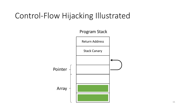![](_page_14_Figure_1.jpeg)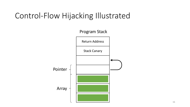![](_page_15_Figure_1.jpeg)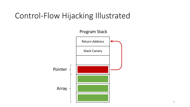![](_page_16_Figure_1.jpeg)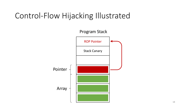![](_page_17_Figure_1.jpeg)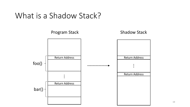#### What is a Shadow Stack?

![](_page_18_Figure_1.jpeg)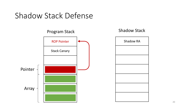#### Shadow Stack Defense

![](_page_19_Figure_1.jpeg)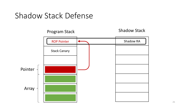#### Shadow Stack Defense

![](_page_20_Figure_1.jpeg)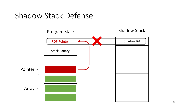#### Shadow Stack Defense

![](_page_21_Figure_1.jpeg)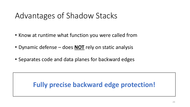#### Advantages of Shadow Stacks

- Know at runtime what function you were called from
- Dynamic defense does **NOT** rely on static analysis
- Separates code and data planes for backward edges

#### **Fully precise backward edge protection!**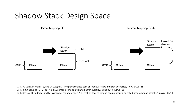## Shadow Stack Design Space

![](_page_23_Figure_1.jpeg)

[1] T. H. Dang, P. Maniatis, and D. Wagner, "The performance cost of shadow stacks and stack canaries," in AsiaCCS '15

[2] T.-c. Chiueh and F.-H. Hsu, "Rad: A compile-time solution to buffer overflow attacks," in ICDCS '01

[3] L. Davi, A.-R. Sadeghi, and M. Winandy, "Ropdefender: A detection tool to defend against return-oriented programming attacks," in AsiaCCS'11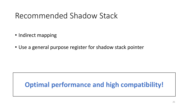#### Recommended Shadow Stack

- Indirect mapping
- Use a general purpose register for shadow stack pointer

#### **Optimal performance and high compatibility!**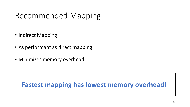## Recommended Mapping

- Indirect Mapping
- As performant as direct mapping
- Minimizes memory overhead

#### **Fastest mapping has lowest memory overhead!**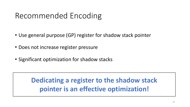## Recommended Encoding

- Use general purpose (GP) register for shadow stack pointer
- Does not increase register pressure
- Significant optimization for shadow stacks

**Dedicating a register to the shadow stack pointer is an effective optimization!**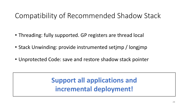#### Compatibility of Recommended Shadow Stack

- Threading: fully supported. GP registers are thread local
- Stack Unwinding: provide instrumented setimp / longimp
- Unprotected Code: save and restore shadow stack pointer

**Support all applications and incremental deployment!**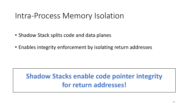#### Intra-Process Memory Isolation

- Shadow Stack splits code and data planes
- Enables integrity enforcement by isolating return addresses

#### **Shadow Stacks enable code pointer integrity** for return addresses!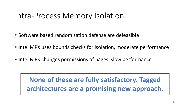#### Intra-Process Memory Isolation

- Software based randomization defense are defeasible
- Intel MPX uses bounds checks for isolation, moderate performance
- Intel MPK changes permissions of pages, slow performance

**None of these are fully satisfactory. Tagged** architectures are a promising new approach.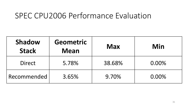#### SPEC CPU2006 Performance Evaluation

| <b>Shadow</b><br><b>Stack</b> | <b>Geometric</b><br><b>Mean</b> | <b>Max</b> | Min   |
|-------------------------------|---------------------------------|------------|-------|
| <b>Direct</b>                 | 5.78%                           | 38.68%     | 0.00% |
| Recommended                   | 3.65%                           | 9.70%      | 0.00% |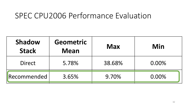#### SPEC CPU2006 Performance Evaluation

| <b>Shadow</b><br><b>Stack</b> | <b>Geometric</b><br><b>Mean</b> | <b>Max</b> | Min   |
|-------------------------------|---------------------------------|------------|-------|
| <b>Direct</b>                 | 5.78%                           | 38.68%     | 0.00% |
| Recommended                   | 3.65%                           | 9.70%      | 0.00% |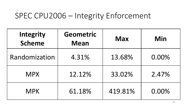#### SPEC CPU2006 - Integrity Enforcement

| Integrity<br><b>Scheme</b> | <b>Geometric</b><br><b>Mean</b> | <b>Max</b> | Min   |
|----------------------------|---------------------------------|------------|-------|
| Randomization              | 4.31%                           | 13.68%     | 0.00% |
| <b>MPX</b>                 | 12.12%                          | 33.02%     | 2.47% |
| <b>MPK</b>                 | 61.18%                          | 419.81%    | 0.00% |